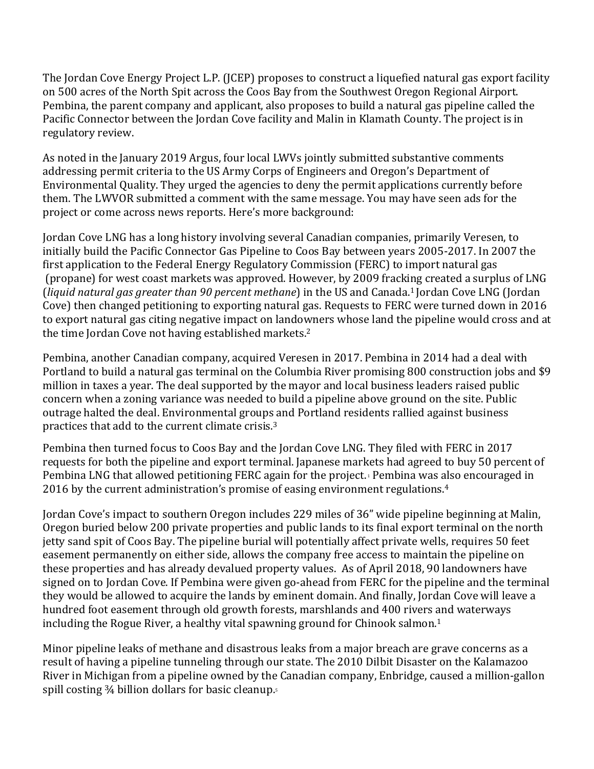The Jordan Cove Energy Project L.P. (JCEP) proposes to construct a liquefied natural gas export facility on 500 acres of the North Spit across the Coos Bay from the Southwest Oregon Regional Airport. Pembina, the parent company and applicant, also proposes to build a natural gas pipeline called the Pacific Connector between the Jordan Cove facility and Malin in Klamath County. The project is in regulatory review.

As noted in the January 2019 Argus, four local LWVs jointly submitted substantive comments addressing permit criteria to the US Army Corps of Engineers and Oregon's Department of Environmental Quality. They urged the agencies to deny the permit applications currently before them. The LWVOR submitted a comment with the same message. You may have seen ads for the project or come across news reports. Here's more background:

Jordan Cove LNG has a long history involving several Canadian companies, primarily Veresen, to initially build the Pacific Connector Gas Pipeline to Coos Bay between years 2005-2017. In 2007 the first application to the Federal Energy Regulatory Commission (FERC) to import natural gas (propane) for west coast markets was approved. However, by 2009 fracking created a surplus of LNG (*liquid natural gas greater than 90 percent methane*) in the US and Canada.<sup>1</sup> Jordan Cove LNG (Jordan Cove) then changed petitioning to exporting natural gas. Requests to FERC were turned down in 2016 to export natural gas citing negative impact on landowners whose land the pipeline would cross and at the time Jordan Cove not having established markets.<sup>2</sup>

Pembina, another Canadian company, acquired Veresen in 2017. Pembina in 2014 had a deal with Portland to build a natural gas terminal on the Columbia River promising 800 construction jobs and \$9 million in taxes a year. The deal supported by the mayor and local business leaders raised public concern when a zoning variance was needed to build a pipeline above ground on the site. Public outrage halted the deal. Environmental groups and Portland residents rallied against business practices that add to the current climate crisis.<sup>3</sup>

Pembina then turned focus to Coos Bay and the Jordan Cove LNG. They filed with FERC in 2017 requests for both the pipeline and export terminal. Japanese markets had agreed to buy 50 percent of Pembina LNG that allowed petitioning FERC again for the project.<sup>1</sup> Pembina was also encouraged in 2016 by the current administration's promise of easing environment regulations.<sup>4</sup>

Jordan Cove's impact to southern Oregon includes 229 miles of 36" wide pipeline beginning at Malin, Oregon buried below 200 private properties and public lands to its final export terminal on the north jetty sand spit of Coos Bay. The pipeline burial will potentially affect private wells, requires 50 feet easement permanently on either side, allows the company free access to maintain the pipeline on these properties and has already devalued property values. As of April 2018, 90 landowners have signed on to Jordan Cove. If Pembina were given go-ahead from FERC for the pipeline and the terminal they would be allowed to acquire the lands by eminent domain. And finally, Jordan Cove will leave a hundred foot easement through old growth forests, marshlands and 400 rivers and waterways including the Rogue River, a healthy vital spawning ground for Chinook salmon.<sup>1</sup>

Minor pipeline leaks of methane and disastrous leaks from a major breach are grave concerns as a result of having a pipeline tunneling through our state. The 2010 Dilbit Disaster on the Kalamazoo River in Michigan from a pipeline owned by the Canadian company, Enbridge, caused a million-gallon spill costing  $\frac{3}{4}$  billion dollars for basic cleanup.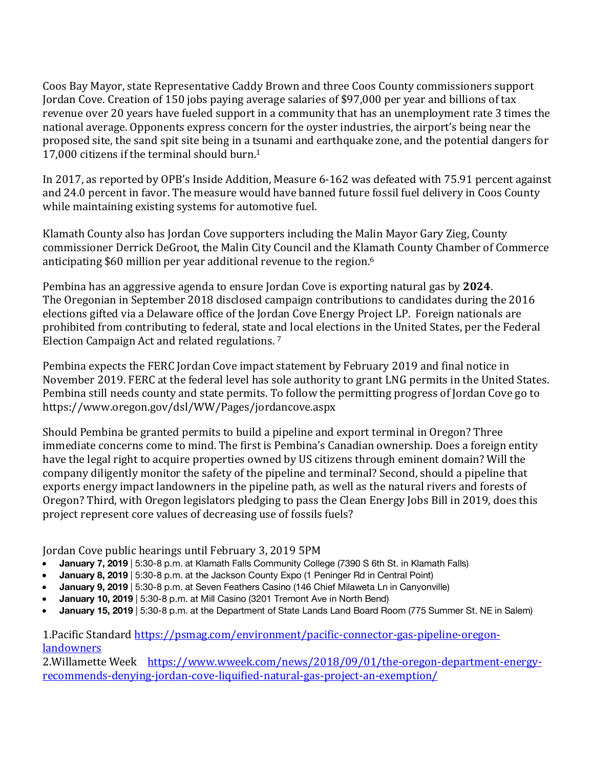Coos Bay Mayor, state Representative Caddy Brown and three Coos County commissioners support Jordan Cove. Creation of 150 jobs paying average salaries of \$97,000 per year and billions of tax revenue over 20 years have fueled support in a community that has an unemployment rate 3 times the national average. Opponents express concern for the oyster industries, the airport's being near the proposed site, the sand spit site being in a tsunami and earthquake zone, and the potential dangers for 17,000 citizens if the terminal should burn.<sup>1</sup>

In 2017, as reported by OPB's Inside Addition, Measure 6-162 was defeated with 75.91 percent against and 24.0 percent in favor. The measure would have banned future fossil fuel delivery in Coos County while maintaining existing systems for automotive fuel.

Klamath County also has Jordan Cove supporters including the Malin Mayor Gary Zieg, County commissioner Derrick DeGroot, the Malin City Council and the Klamath County Chamber of Commerce anticipating \$60 million per year additional revenue to the region.<sup>6</sup>

Pembina has an aggressive agenda to ensure Jordan Cove is exporting natural gas by 2024. The Oregonian in September 2018 disclosed campaign contributions to candidates during the 2016 elections gifted via a Delaware office of the Jordan Cove Energy Project LP. Foreign nationals are prohibited from contributing to federal, state and local elections in the United States, per the Federal Election Campaign Act and related regulations.<sup>7</sup>

Pembina expects the FERC Jordan Cove impact statement by February 2019 and final notice in November 2019. FERC at the federal level has sole authority to grant LNG permits in the United States. Pembina still needs county and state permits. To follow the permitting progress of Jordan Cove go to https://www.oregon.gov/dsl/WW/Pages/jordancove.aspx

Should Pembina be granted permits to build a pipeline and export terminal in Oregon? Three immediate concerns come to mind. The first is Pembina's Canadian ownership. Does a foreign entity have the legal right to acquire properties owned by US citizens through eminent domain? Will the company diligently monitor the safety of the pipeline and terminal? Second, should a pipeline that exports energy impact landowners in the pipeline path, as well as the natural rivers and forests of Oregon? Third, with Oregon legislators pledging to pass the Clean Energy Jobs Bill in 2019, does this project represent core values of decreasing use of fossils fuels?

Jordan Cove public hearings until February 3, 2019 5PM

- **January 7, 2019** | 5:30-8 p.m. at Klamath Falls Community College (7390 S 6th St. in Klamath Falls)
- **January 8, 2019** | 5:30-8 p.m. at the Jackson County Expo (1 Peninger Rd in Central Point)
- **January 9, 2019** | 5:30-8 p.m. at Seven Feathers Casino (146 Chief Milaweta Ln in Canyonville)
- **January 10, 2019** | 5:30-8 p.m. at Mill Casino (3201 Tremont Ave in North Bend)
- **January 15, 2019** | 5:30-8 p.m. at the Department of State Lands Land Board Room (775 Summer St. NE in Salem)

1. Pacific Standard https://psmag.com/environment/pacific-connector-gas-pipeline-oregonlandowners

2.Willamette Week https://www.wweek.com/news/2018/09/01/the-oregon-department-energyrecommends-denying-jordan-cove-liquified-natural-gas-project-an-exemption/